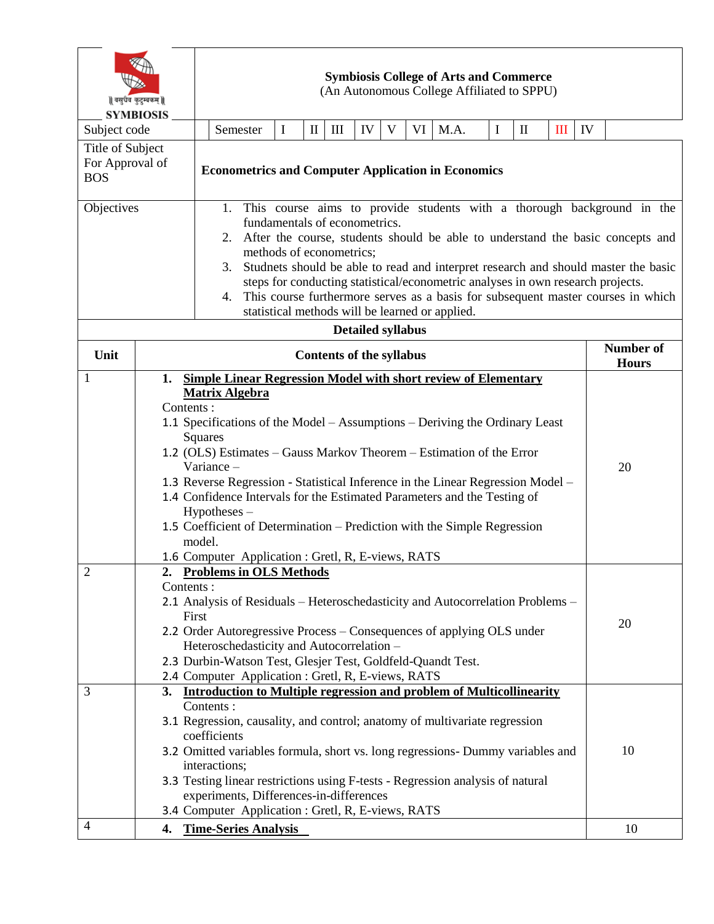| वसुधैव कुटुम्बकम्   <br><b>SYMBIOSIS</b>        |                                                                                             | <b>Symbiosis College of Arts and Commerce</b><br>(An Autonomous College Affiliated to SPPU)                                                                 |                                                                                                          |   |              |                    |    |   |    |      |                           |              |   |    |    |
|-------------------------------------------------|---------------------------------------------------------------------------------------------|-------------------------------------------------------------------------------------------------------------------------------------------------------------|----------------------------------------------------------------------------------------------------------|---|--------------|--------------------|----|---|----|------|---------------------------|--------------|---|----|----|
| Subject code                                    |                                                                                             |                                                                                                                                                             | Semester                                                                                                 | I | $\mathbf{I}$ | $\mathop{\rm III}$ | IV | V | VI | M.A. | $\mathbf I$               | $\mathbf{I}$ | Ш | IV |    |
| Title of Subject                                |                                                                                             |                                                                                                                                                             |                                                                                                          |   |              |                    |    |   |    |      |                           |              |   |    |    |
| For Approval of<br><b>BOS</b>                   |                                                                                             |                                                                                                                                                             | <b>Econometrics and Computer Application in Economics</b>                                                |   |              |                    |    |   |    |      |                           |              |   |    |    |
| Objectives                                      |                                                                                             | 1. This course aims to provide students with a thorough background in the                                                                                   |                                                                                                          |   |              |                    |    |   |    |      |                           |              |   |    |    |
|                                                 |                                                                                             | fundamentals of econometrics.<br>After the course, students should be able to understand the basic concepts and<br>2.                                       |                                                                                                          |   |              |                    |    |   |    |      |                           |              |   |    |    |
|                                                 |                                                                                             | methods of econometrics;<br>Studnets should be able to read and interpret research and should master the basic<br>3.                                        |                                                                                                          |   |              |                    |    |   |    |      |                           |              |   |    |    |
|                                                 |                                                                                             | steps for conducting statistical/econometric analyses in own research projects.                                                                             |                                                                                                          |   |              |                    |    |   |    |      |                           |              |   |    |    |
|                                                 |                                                                                             |                                                                                                                                                             | This course furthermore serves as a basis for subsequent master courses in which<br>4.                   |   |              |                    |    |   |    |      |                           |              |   |    |    |
| statistical methods will be learned or applied. |                                                                                             |                                                                                                                                                             |                                                                                                          |   |              |                    |    |   |    |      |                           |              |   |    |    |
| <b>Detailed syllabus</b>                        |                                                                                             |                                                                                                                                                             |                                                                                                          |   |              |                    |    |   |    |      |                           |              |   |    |    |
| Unit                                            |                                                                                             | <b>Contents of the syllabus</b>                                                                                                                             |                                                                                                          |   |              |                    |    |   |    |      | Number of<br><b>Hours</b> |              |   |    |    |
| $\mathbf{1}$                                    | 1.                                                                                          |                                                                                                                                                             | <b>Simple Linear Regression Model with short review of Elementary</b>                                    |   |              |                    |    |   |    |      |                           |              |   |    |    |
|                                                 |                                                                                             | <b>Matrix Algebra</b>                                                                                                                                       |                                                                                                          |   |              |                    |    |   |    |      |                           |              |   |    |    |
|                                                 | Contents:                                                                                   |                                                                                                                                                             |                                                                                                          |   |              |                    |    |   |    |      |                           |              |   |    |    |
|                                                 | 1.1 Specifications of the Model – Assumptions – Deriving the Ordinary Least<br>Squares      |                                                                                                                                                             |                                                                                                          |   |              |                    |    |   |    |      |                           |              |   |    |    |
|                                                 | 1.2 (OLS) Estimates – Gauss Markov Theorem – Estimation of the Error                        |                                                                                                                                                             |                                                                                                          |   |              |                    |    |   |    |      |                           |              |   |    |    |
|                                                 |                                                                                             | 20<br>Variance -                                                                                                                                            |                                                                                                          |   |              |                    |    |   |    |      |                           |              |   |    |    |
|                                                 |                                                                                             | 1.3 Reverse Regression - Statistical Inference in the Linear Regression Model -<br>1.4 Confidence Intervals for the Estimated Parameters and the Testing of |                                                                                                          |   |              |                    |    |   |    |      |                           |              |   |    |    |
|                                                 | Hypotheses –                                                                                |                                                                                                                                                             |                                                                                                          |   |              |                    |    |   |    |      |                           |              |   |    |    |
|                                                 | 1.5 Coefficient of Determination – Prediction with the Simple Regression<br>model.          |                                                                                                                                                             |                                                                                                          |   |              |                    |    |   |    |      |                           |              |   |    |    |
|                                                 |                                                                                             | 1.6 Computer Application : Gretl, R, E-views, RATS                                                                                                          |                                                                                                          |   |              |                    |    |   |    |      |                           |              |   |    |    |
| $\overline{2}$                                  | 2.                                                                                          | <b>Problems in OLS Methods</b>                                                                                                                              |                                                                                                          |   |              |                    |    |   |    |      |                           |              |   |    |    |
|                                                 | Contents:<br>2.1 Analysis of Residuals - Heteroschedasticity and Autocorrelation Problems - |                                                                                                                                                             |                                                                                                          |   |              |                    |    |   |    |      |                           |              |   |    |    |
|                                                 |                                                                                             | First                                                                                                                                                       |                                                                                                          |   |              |                    |    |   |    |      |                           |              |   | 20 |    |
|                                                 |                                                                                             | 2.2 Order Autoregressive Process – Consequences of applying OLS under                                                                                       |                                                                                                          |   |              |                    |    |   |    |      |                           |              |   |    |    |
|                                                 |                                                                                             |                                                                                                                                                             | Heteroschedasticity and Autocorrelation -<br>2.3 Durbin-Watson Test, Glesjer Test, Goldfeld-Quandt Test. |   |              |                    |    |   |    |      |                           |              |   |    |    |
|                                                 |                                                                                             |                                                                                                                                                             |                                                                                                          |   |              |                    |    |   |    |      |                           |              |   |    |    |
| 3                                               |                                                                                             | 2.4 Computer Application : Gretl, R, E-views, RATS<br>3. Introduction to Multiple regression and problem of Multicollinearity<br>Contents:                  |                                                                                                          |   |              |                    |    |   |    |      |                           |              |   |    |    |
|                                                 |                                                                                             |                                                                                                                                                             |                                                                                                          |   |              |                    |    |   |    |      |                           |              |   |    |    |
|                                                 |                                                                                             |                                                                                                                                                             | 3.1 Regression, causality, and control; anatomy of multivariate regression<br>coefficients               |   |              |                    |    |   |    |      |                           |              |   |    |    |
|                                                 | 3.2 Omitted variables formula, short vs. long regressions- Dummy variables and              |                                                                                                                                                             |                                                                                                          |   |              |                    |    |   |    | 10   |                           |              |   |    |    |
|                                                 |                                                                                             | interactions;<br>3.3 Testing linear restrictions using F-tests - Regression analysis of natural                                                             |                                                                                                          |   |              |                    |    |   |    |      |                           |              |   |    |    |
|                                                 | experiments, Differences-in-differences                                                     |                                                                                                                                                             |                                                                                                          |   |              |                    |    |   |    |      |                           |              |   |    |    |
|                                                 |                                                                                             | 3.4 Computer Application : Gretl, R, E-views, RATS                                                                                                          |                                                                                                          |   |              |                    |    |   |    |      |                           |              |   |    |    |
| $\overline{4}$                                  |                                                                                             |                                                                                                                                                             | 4. Time-Series Analysis                                                                                  |   |              |                    |    |   |    |      |                           |              |   |    | 10 |